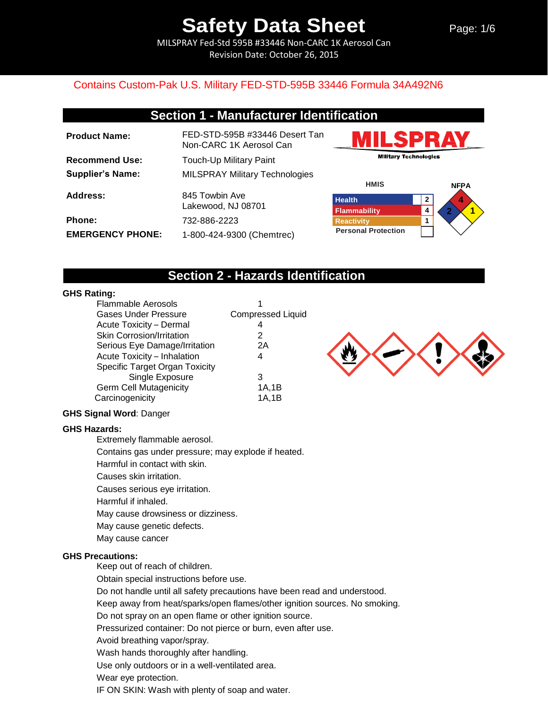MILSPRAY Fed-Std 595B #33446 Non-CARC 1K Aerosol Can Revision Date: October 26, 2015

### Contains Custom-Pak U.S. Military FED-STD-595B 33446 Formula 34A492N6

## **Section 1 - Manufacturer Identification**

| <b>Product Name:</b>    | FED-STD-595B #33446 Desert Tan<br>Non-CARC 1K Aerosol Can |
|-------------------------|-----------------------------------------------------------|
| <b>Recommend Use:</b>   | <b>Touch-Up Military Paint</b>                            |
| <b>Supplier's Name:</b> | <b>MILSPRAY Military Technologies</b>                     |
| Address:                | 845 Towbin Ave<br>Lakewood, NJ 08701                      |
| <b>Phone:</b>           | 732-886-2223                                              |
| <b>EMERGENCY PHONE:</b> | 1-800-424-9300 (Chemtrec)                                 |





## **Section 2 - Hazards Identification**

#### **GHS Rating:**

| <b>Flammable Aerosols</b>        |                          |
|----------------------------------|--------------------------|
| <b>Gases Under Pressure</b>      | <b>Compressed Liquid</b> |
| Acute Toxicity - Dermal          | 4                        |
| <b>Skin Corrosion/Irritation</b> | 2                        |
| Serious Eye Damage/Irritation    | 2Α                       |
| Acute Toxicity - Inhalation      | 4                        |
| Specific Target Organ Toxicity   |                          |
| Single Exposure                  | 3                        |
| <b>Germ Cell Mutagenicity</b>    | 1A,1B                    |
| Carcinogenicity                  | 1A,1B                    |



#### **GHS Signal Word**: Danger

#### **GHS Hazards:**

Extremely flammable aerosol.

Contains gas under pressure; may explode if heated.

Harmful in contact with skin.

Causes skin irritation.

Causes serious eye irritation.

Harmful if inhaled.

May cause drowsiness or dizziness.

May cause genetic defects.

May cause cancer

#### **GHS Precautions:**

Keep out of reach of children.

Obtain special instructions before use.

Do not handle until all safety precautions have been read and understood.

Keep away from heat/sparks/open flames/other ignition sources. No smoking.

Do not spray on an open flame or other ignition source.

Pressurized container: Do not pierce or burn, even after use.

Avoid breathing vapor/spray.

Wash hands thoroughly after handling.

Use only outdoors or in a well-ventilated area.

Wear eye protection.

IF ON SKIN: Wash with plenty of soap and water.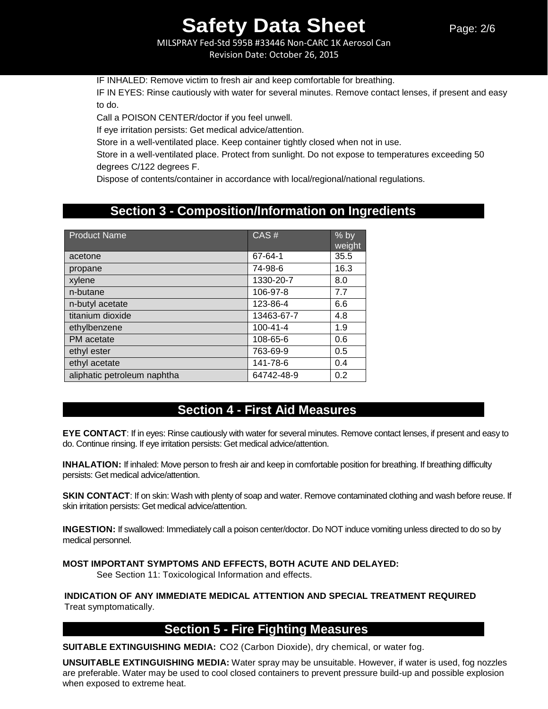MILSPRAY Fed-Std 595B #33446 Non-CARC 1K Aerosol Can Revision Date: October 26, 2015

IF INHALED: Remove victim to fresh air and keep comfortable for breathing.

IF IN EYES: Rinse cautiously with water for several minutes. Remove contact lenses, if present and easy to do.

Call a POISON CENTER/doctor if you feel unwell.

If eye irritation persists: Get medical advice/attention.

Store in a well-ventilated place. Keep container tightly closed when not in use.

Store in a well-ventilated place. Protect from sunlight. Do not expose to temperatures exceeding 50 degrees C/122 degrees F.

Dispose of contents/container in accordance with local/regional/national regulations.

## **Section 3 - Composition/Information on Ingredients**

| <b>Product Name</b>         | CAS#           | $%$ by<br>weight |
|-----------------------------|----------------|------------------|
| acetone                     | 67-64-1        | 35.5             |
| propane                     | 74-98-6        | 16.3             |
| xylene                      | 1330-20-7      | 8.0              |
| n-butane                    | 106-97-8       | 7.7              |
| n-butyl acetate             | 123-86-4       | 6.6              |
| titanium dioxide            | 13463-67-7     | 4.8              |
| ethylbenzene                | $100 - 41 - 4$ | 1.9              |
| PM acetate                  | 108-65-6       | 0.6              |
| ethyl ester                 | 763-69-9       | 0.5              |
| ethyl acetate               | 141-78-6       | 0.4              |
| aliphatic petroleum naphtha | 64742-48-9     | 0.2              |

## **Section 4 - First Aid Measures**

**EYE CONTACT**: If in eyes: Rinse cautiously with water for several minutes. Remove contact lenses, if present and easy to do. Continue rinsing. If eye irritation persists: Get medical advice/attention.

**INHALATION:** If inhaled: Move person to fresh air and keep in comfortable position for breathing. If breathing difficulty persists: Get medical advice/attention.

**SKIN CONTACT:** If on skin: Wash with plenty of soap and water. Remove contaminated clothing and wash before reuse. If skin irritation persists: Get medical advice/attention.

**INGESTION:** If swallowed: Immediately call a poison center/doctor. Do NOT induce vomiting unless directed to do so by medical personnel.

#### **MOST IMPORTANT SYMPTOMS AND EFFECTS, BOTH ACUTE AND DELAYED:**

See Section 11: Toxicological Information and effects.

**INDICATION OF ANY IMMEDIATE MEDICAL ATTENTION AND SPECIAL TREATMENT REQUIRED** Treat symptomatically.

## **Section 5 - Fire Fighting Measures**

**SUITABLE EXTINGUISHING MEDIA:** CO2 (Carbon Dioxide), dry chemical, or water fog.

**UNSUITABLE EXTINGUISHING MEDIA:** Water spray may be unsuitable. However, if water is used, fog nozzles are preferable. Water may be used to cool closed containers to prevent pressure build-up and possible explosion when exposed to extreme heat.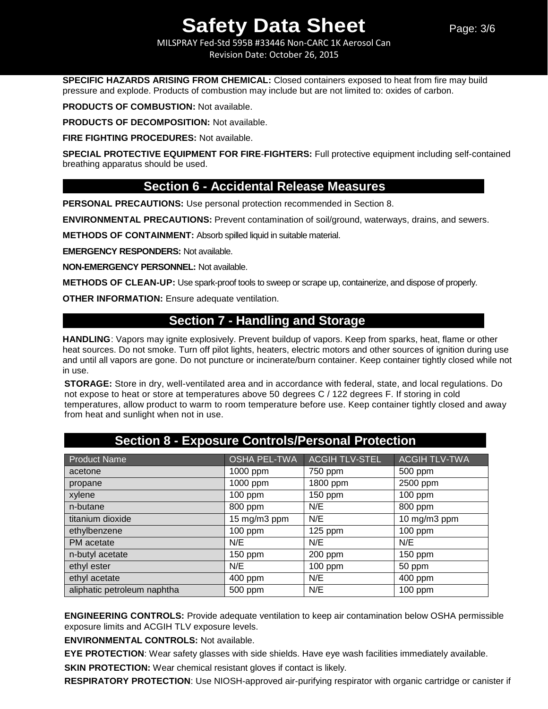MILSPRAY Fed-Std 595B #33446 Non-CARC 1K Aerosol Can Revision Date: October 26, 2015

**SPECIFIC HAZARDS ARISING FROM CHEMICAL:** Closed containers exposed to heat from fire may build pressure and explode. Products of combustion may include but are not limited to: oxides of carbon.

**PRODUCTS OF COMBUSTION:** Not available.

**PRODUCTS OF DECOMPOSITION:** Not available.

**FIRE FIGHTING PROCEDURES:** Not available.

**SPECIAL PROTECTIVE EQUIPMENT FOR FIRE**-**FIGHTERS:** Full protective equipment including self-contained breathing apparatus should be used.

## **Section 6 - Accidental Release Measures**

**PERSONAL PRECAUTIONS:** Use personal protection recommended in Section 8.

**ENVIRONMENTAL PRECAUTIONS:** Prevent contamination of soil/ground, waterways, drains, and sewers.

**METHODS OF CONTAINMENT:** Absorb spilled liquid in suitable material.

**EMERGENCY RESPONDERS:** Not available.

**NON-EMERGENCY PERSONNEL:** Not available.

**METHODS OF CLEAN-UP:** Use spark-proof tools to sweep or scrape up, containerize, and dispose of properly.

**OTHER INFORMATION:** Ensure adequate ventilation.

## **Section 7 - Handling and Storage**

**HANDLING**: Vapors may ignite explosively. Prevent buildup of vapors. Keep from sparks, heat, flame or other heat sources. Do not smoke. Turn off pilot lights, heaters, electric motors and other sources of ignition during use and until all vapors are gone. Do not puncture or incinerate/burn container. Keep container tightly closed while not in use.

**STORAGE:** Store in dry, well-ventilated area and in accordance with federal, state, and local regulations. Do not expose to heat or store at temperatures above 50 degrees C / 122 degrees F. If storing in cold temperatures, allow product to warm to room temperature before use. Keep container tightly closed and away from heat and sunlight when not in use.

| Product Name                | <b>OSHA PEL-TWA</b> | <b>ACGIH TLV-STEL</b> | <b>ACGIH TLV-TWA</b> |
|-----------------------------|---------------------|-----------------------|----------------------|
| acetone                     | 1000 ppm            | 750 ppm               | 500 ppm              |
| propane                     | 1000 ppm            | 1800 ppm              | 2500 ppm             |
| xylene                      | 100 ppm             | 150 ppm               | 100 ppm              |
| n-butane                    | 800 ppm             | N/E                   | 800 ppm              |
| titanium dioxide            | 15 mg/m3 ppm        | N/E                   | 10 mg/m3 ppm         |
| ethylbenzene                | 100 ppm             | $125$ ppm             | 100 ppm              |
| PM acetate                  | N/E                 | N/E                   | N/E                  |
| n-butyl acetate             | 150 ppm             | 200 ppm               | 150 ppm              |
| ethyl ester                 | N/E                 | 100 ppm               | 50 ppm               |
| ethyl acetate               | 400 ppm             | N/E                   | 400 ppm              |
| aliphatic petroleum naphtha | 500 ppm             | N/E                   | 100 ppm              |

## **Section 8 - Exposure Controls/Personal Protection**

**ENGINEERING CONTROLS:** Provide adequate ventilation to keep air contamination below OSHA permissible exposure limits and ACGIH TLV exposure levels.

**ENVIRONMENTAL CONTROLS:** Not available.

**EYE PROTECTION**: Wear safety glasses with side shields. Have eye wash facilities immediately available.

**SKIN PROTECTION:** Wear chemical resistant gloves if contact is likely.

**RESPIRATORY PROTECTION**: Use NIOSH-approved air-purifying respirator with organic cartridge or canister if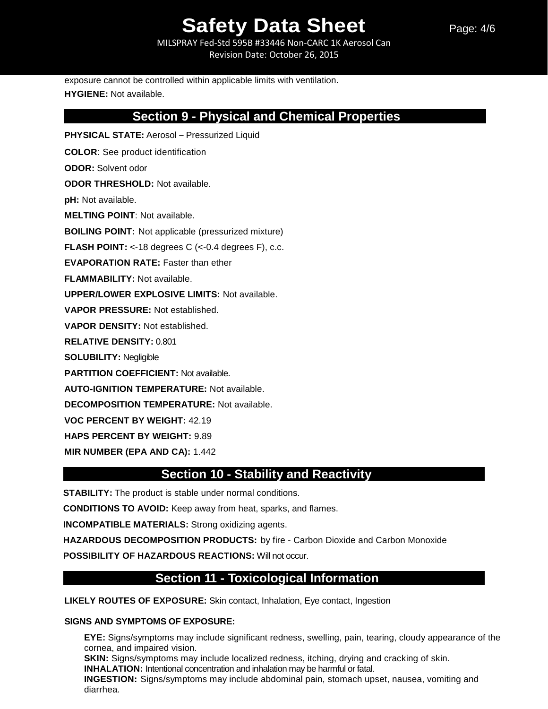MILSPRAY Fed-Std 595B #33446 Non-CARC 1K Aerosol Can Revision Date: October 26, 2015

Page: 4/6

exposure cannot be controlled within applicable limits with ventilation. **HYGIENE:** Not available.

## **Section 9 - Physical and Chemical Properties**

**PHYSICAL STATE:** Aerosol – Pressurized Liquid **COLOR**: See product identification **ODOR:** Solvent odor **ODOR THRESHOLD:** Not available. **pH:** Not available. **MELTING POINT**: Not available. **BOILING POINT:** Not applicable (pressurized mixture) **FLASH POINT:** <-18 degrees C (<-0.4 degrees F), c.c. **EVAPORATION RATE:** Faster than ether **FLAMMABILITY:** Not available. **UPPER/LOWER EXPLOSIVE LIMITS:** Not available. **VAPOR PRESSURE:** Not established. **VAPOR DENSITY:** Not established. **RELATIVE DENSITY:** 0.801 **SOLUBILITY:** Negligible **PARTITION COEFFICIENT:** Not available. **AUTO-IGNITION TEMPERATURE:** Not available. **DECOMPOSITION TEMPERATURE:** Not available. **VOC PERCENT BY WEIGHT:** 42.19 **HAPS PERCENT BY WEIGHT:** 9.89 **MIR NUMBER (EPA AND CA):** 1.442

## **Section 10 - Stability and Reactivity**

**STABILITY:** The product is stable under normal conditions.

**CONDITIONS TO AVOID:** Keep away from heat, sparks, and flames.

**INCOMPATIBLE MATERIALS:** Strong oxidizing agents.

**HAZARDOUS DECOMPOSITION PRODUCTS:** by fire - Carbon Dioxide and Carbon Monoxide

**POSSIBILITY OF HAZARDOUS REACTIONS:** Will not occur.

## **Section 11 - Toxicological Information**

**LIKELY ROUTES OF EXPOSURE:** Skin contact, Inhalation, Eye contact, Ingestion

#### **SIGNS AND SYMPTOMS OF EXPOSURE:**

**EYE:** Signs/symptoms may include significant redness, swelling, pain, tearing, cloudy appearance of the cornea, and impaired vision. **SKIN:** Signs/symptoms may include localized redness, itching, drying and cracking of skin. **INHALATION:** Intentional concentration and inhalation may be harmful or fatal. **INGESTION:** Signs/symptoms may include abdominal pain, stomach upset, nausea, vomiting and diarrhea.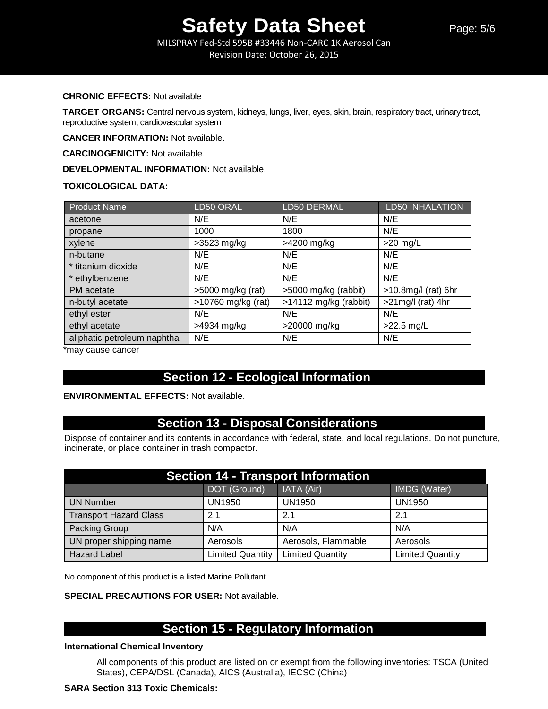MILSPRAY Fed-Std 595B #33446 Non-CARC 1K Aerosol Can Revision Date: October 26, 2015

#### **CHRONIC EFFECTS:** Not available

**TARGET ORGANS:** Central nervous system, kidneys, lungs, liver, eyes, skin, brain, respiratory tract, urinary tract, reproductive system, cardiovascular system

**CANCER INFORMATION:** Not available.

**CARCINOGENICITY:** Not available.

**DEVELOPMENTAL INFORMATION:** Not available.

#### **TOXICOLOGICAL DATA:**

| <b>Product Name</b>         | LD50 ORAL            | LD50 DERMAL             | <b>LD50 INHALATION</b> |
|-----------------------------|----------------------|-------------------------|------------------------|
| acetone                     | N/E                  | N/E                     | N/E                    |
| propane                     | 1000                 | 1800                    | N/E                    |
| xylene                      | $>3523$ mg/kg        | >4200 mg/kg             | $>20$ mg/L             |
| n-butane                    | N/E                  | N/E                     | N/E                    |
| * titanium dioxide          | N/E                  | N/E                     | N/E                    |
| * ethylbenzene              | N/E                  | N/E                     | N/E                    |
| PM acetate                  | $>5000$ mg/kg (rat)  | >5000 mg/kg (rabbit)    | $>10.8$ mg/l (rat) 6hr |
| n-butyl acetate             | $>10760$ mg/kg (rat) | $>14112$ mg/kg (rabbit) | $>21$ mg/l (rat) 4hr   |
| ethyl ester                 | N/E                  | N/E                     | N/E                    |
| ethyl acetate               | >4934 mg/kg          | >20000 mg/kg            | $>22.5$ mg/L           |
| aliphatic petroleum naphtha | N/E                  | N/E                     | N/E                    |

\*may cause cancer

## **Section 12 - Ecological Information**

#### **ENVIRONMENTAL EFFECTS:** Not available.

## **Section 13 - Disposal Considerations**

Dispose of container and its contents in accordance with federal, state, and local regulations. Do not puncture, incinerate, or place container in trash compactor.

| <b>Section 14 - Transport Information</b> |                         |                         |                         |  |
|-------------------------------------------|-------------------------|-------------------------|-------------------------|--|
|                                           | DOT (Ground)            | IATA (Air)              | IMDG (Water)            |  |
| <b>UN Number</b>                          | <b>UN1950</b>           | <b>UN1950</b>           | <b>UN1950</b>           |  |
| <b>Transport Hazard Class</b>             | 2.1                     | 2.1                     | 2.1                     |  |
| Packing Group                             | N/A                     | N/A                     | N/A                     |  |
| UN proper shipping name                   | Aerosols                | Aerosols, Flammable     | Aerosols                |  |
| <b>Hazard Label</b>                       | <b>Limited Quantity</b> | <b>Limited Quantity</b> | <b>Limited Quantity</b> |  |

No component of this product is a listed Marine Pollutant.

#### **SPECIAL PRECAUTIONS FOR USER:** Not available.

## **Section 15 - Regulatory Information**

#### **International Chemical Inventory**

All components of this product are listed on or exempt from the following inventories: TSCA (United States), CEPA/DSL (Canada), AICS (Australia), IECSC (China)

#### **SARA Section 313 Toxic Chemicals:**